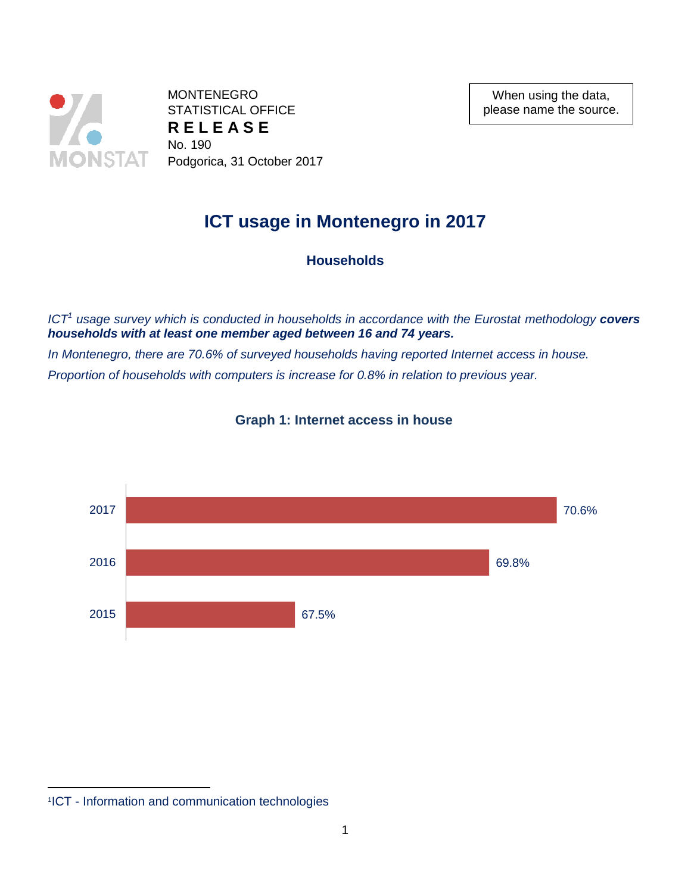

**MONTENEGRO** STATISTICAL OFFICE **R E L E A S E** No. 190 Podgorica, 31 October 2017

When using the data, please name the source.

# **ICT usage in Montenegro in 2017**

**Households**

*ICT<sup>1</sup> usage survey which is conducted in households in accordance with the Eurostat methodology covers households with at least one member aged between 16 and 74 years.*

*In Montenegro, there are 70.6% of surveyed households having reported Internet access in house. Proportion of households with computers is increase for 0.8% in relation to previous year.*



**Graph 1: Internet access in house**

 $\overline{a}$ 

<sup>1</sup> ICT - Information and communication technologies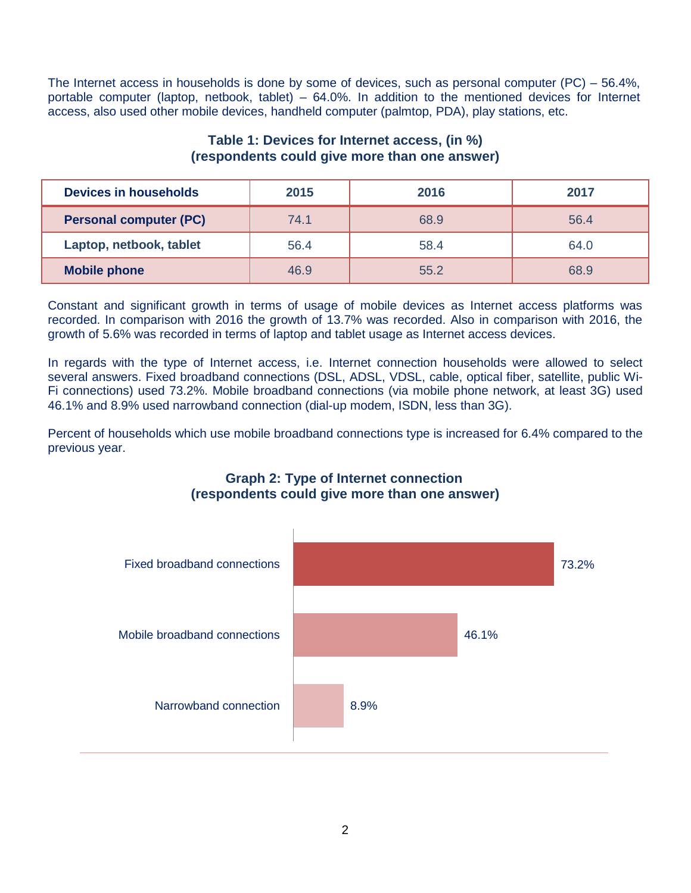The Internet access in households is done by some of devices, such as personal computer (PC) – 56.4%, portable computer (laptop, netbook, tablet) – 64.0%. In addition to the mentioned devices for Internet access, also used other mobile devices, handheld computer (palmtop, PDA), play stations, etc.

## **Table 1: Devices for Internet access, (in %) (respondents could give more than one answer)**

| <b>Devices in households</b>  | 2015 | 2016 | 2017 |  |
|-------------------------------|------|------|------|--|
| <b>Personal computer (PC)</b> | 74.1 | 68.9 | 56.4 |  |
| Laptop, netbook, tablet       | 56.4 | 58.4 | 64.0 |  |
| <b>Mobile phone</b>           | 46.9 | 55.2 | 68.9 |  |

Constant and significant growth in terms of usage of mobile devices as Internet access platforms was recorded. In comparison with 2016 the growth of 13.7% was recorded. Also in comparison with 2016, the growth of 5.6% was recorded in terms of laptop and tablet usage as Internet access devices.

In regards with the type of Internet access, i.e. Internet connection households were allowed to select several answers. Fixed broadband connections (DSL, ADSL, VDSL, cable, optical fiber, satellite, public Wi-Fi connections) used 73.2%. Mobile broadband connections (via mobile phone network, at least 3G) used 46.1% and 8.9% used narrowband connection (dial-up modem, ISDN, less than 3G).

Percent of households which use mobile broadband connections type is increased for 6.4% compared to the previous year.



# **Graph 2: Type of Internet connection (respondents could give more than one answer)**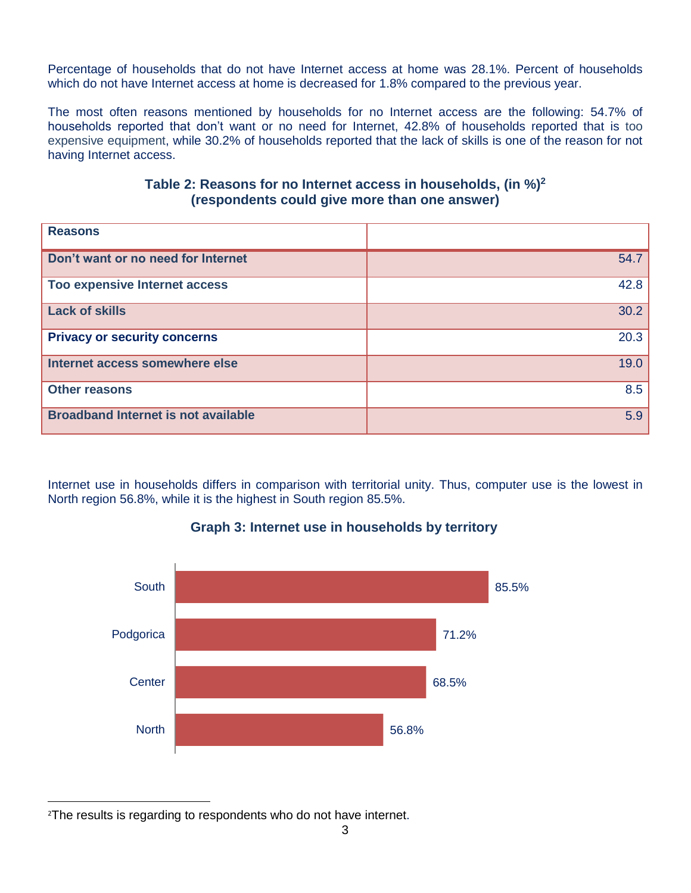Percentage of households that do not have Internet access at home was 28.1%. Percent of households which do not have Internet access at home is decreased for 1.8% compared to the previous year.

The most often reasons mentioned by households for no Internet access are the following: 54.7% of households reported that don't want or no need for Internet, 42.8% of households reported that is too expensive equipment, while 30.2% of households reported that the lack of skills is one of the reason for not having Internet access.

# **Table 2: Reasons for no Internet access in households, (in %)<sup>2</sup> (respondents could give more than one answer)**

| <b>Reasons</b>                             |      |
|--------------------------------------------|------|
| Don't want or no need for Internet         | 54.7 |
| Too expensive Internet access              | 42.8 |
| <b>Lack of skills</b>                      | 30.2 |
| <b>Privacy or security concerns</b>        | 20.3 |
| Internet access somewhere else             | 19.0 |
| <b>Other reasons</b>                       | 8.5  |
| <b>Broadband Internet is not available</b> | 5.9  |

Internet use in households differs in comparison with territorial unity. Thus, computer use is the lowest in North region 56.8%, while it is the highest in South region 85.5%.



# **Graph 3: Internet use in households by territory**

 $\overline{a}$ <sup>2</sup>The results is regarding to respondents who do not have internet.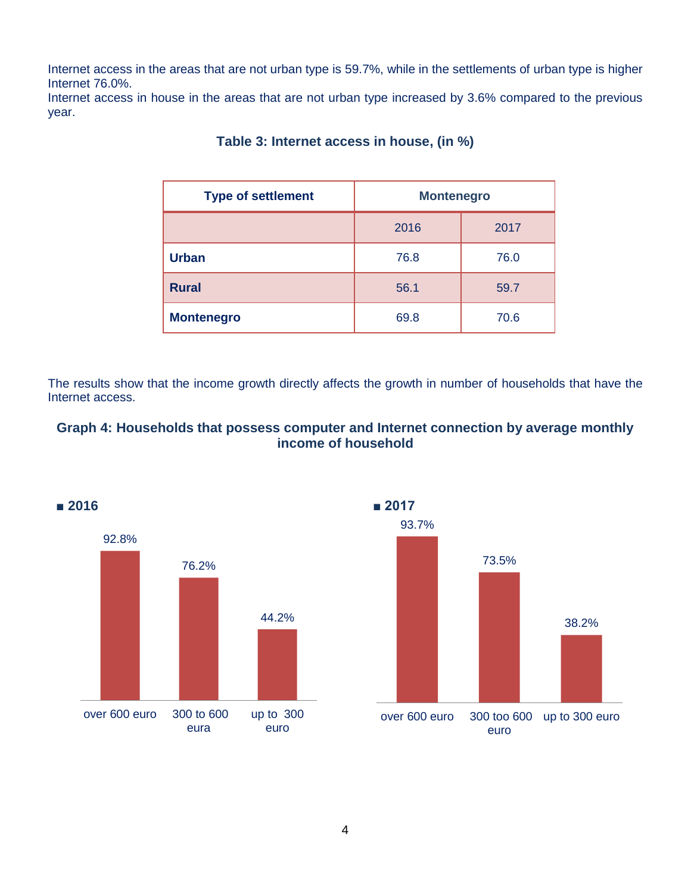Internet access in the areas that are not urban type is 59.7%, while in the settlements of urban type is higher Internet 76.0%.

Internet access in house in the areas that are not urban type increased by 3.6% compared to the previous year.

| <b>Type of settlement</b> | <b>Montenegro</b> |      |  |
|---------------------------|-------------------|------|--|
|                           | 2016              | 2017 |  |
| <b>Urban</b>              | 76.8              | 76.0 |  |
| <b>Rural</b>              | 56.1              | 59.7 |  |
| <b>Montenegro</b>         | 69.8              | 70.6 |  |

# **Table 3: Internet access in house, (in %)**

The results show that the income growth directly affects the growth in number of households that have the Internet access.

# **Graph 4: Households that possess computer and Internet connection by average monthly income of household**



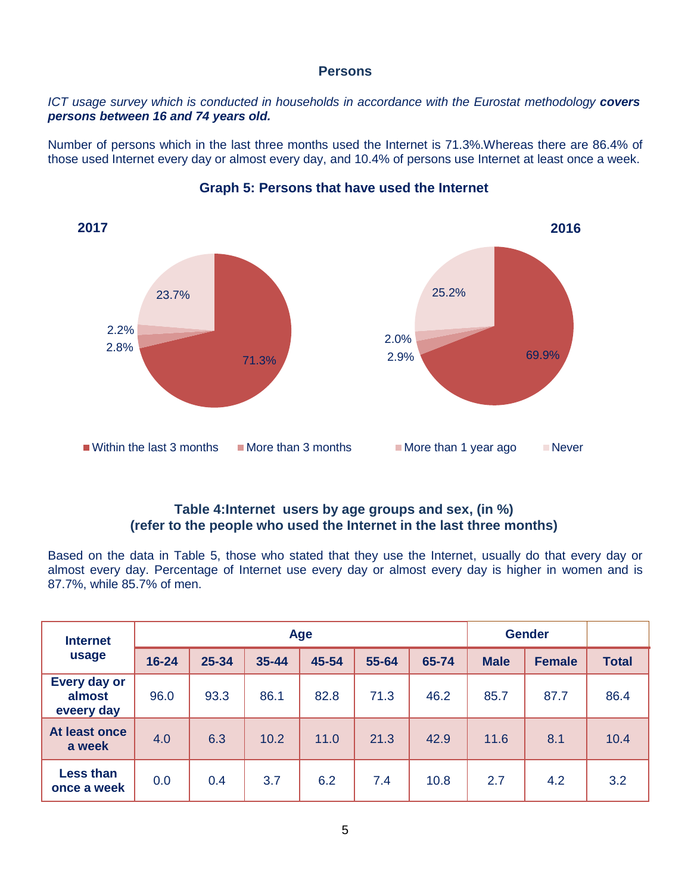#### **Persons**

#### *ICT usage survey which is conducted in households in accordance with the Eurostat methodology covers persons between 16 and 74 years old.*

Number of persons which in the last three months used the Internet is 71.3%.Whereas there are 86.4% of those used Internet every day or almost every day, and 10.4% of persons use Internet at least once a week.



## **Graph 5: Persons that have used the Internet**

# **Table 4:Internet users by age groups and sex, (in %) (refer to the people who used the Internet in the last three months)**

Based on the data in Table 5, those who stated that they use the Internet, usually do that every day or almost every day. Percentage of Internet use every day or almost every day is higher in women and is 87.7%, while 85.7% of men.

| <b>Internet</b><br>usage             | Age       |       |           |       | <b>Gender</b> |       |             |               |              |
|--------------------------------------|-----------|-------|-----------|-------|---------------|-------|-------------|---------------|--------------|
|                                      | $16 - 24$ | 25-34 | $35 - 44$ | 45-54 | 55-64         | 65-74 | <b>Male</b> | <b>Female</b> | <b>Total</b> |
| Every day or<br>almost<br>eveery day | 96.0      | 93.3  | 86.1      | 82.8  | 71.3          | 46.2  | 85.7        | 87.7          | 86.4         |
| At least once<br>a week              | 4.0       | 6.3   | 10.2      | 11.0  | 21.3          | 42.9  | 11.6        | 8.1           | 10.4         |
| <b>Less than</b><br>once a week      | 0.0       | 0.4   | 3.7       | 6.2   | 7.4           | 10.8  | 2.7         | 4.2           | 3.2          |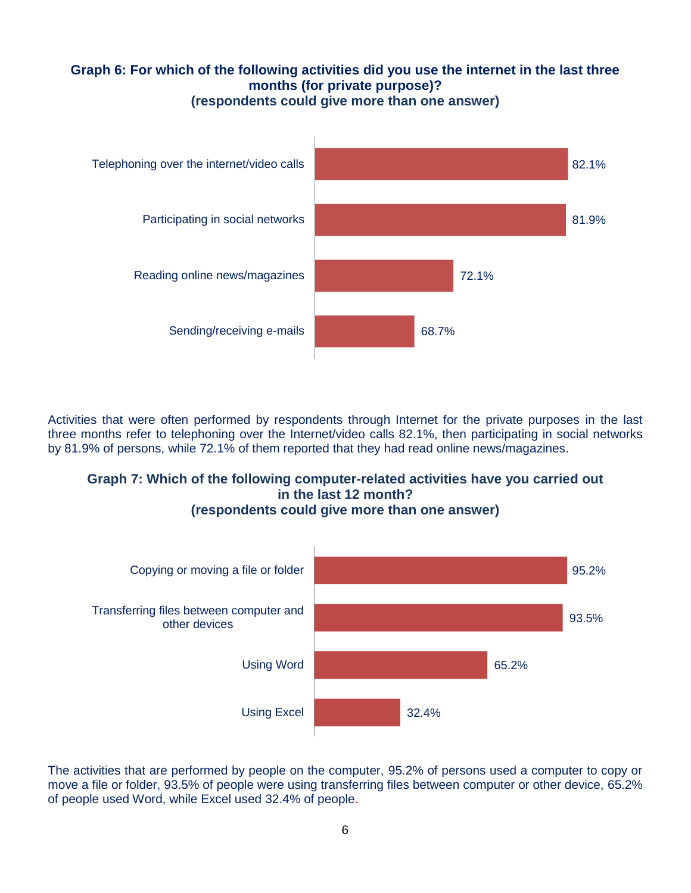# **Graph 6: For which of the following activities did you use the internet in the last three months (for private purpose)? (respondents could give more than one answer)**



Activities that were often performed by respondents through Internet for the private purposes in the last three months refer to telephoning over the Internet/video calls 82.1%, then participating in social networks by 81.9% of persons, while 72.1% of them reported that they had read online news/magazines.

# **Graph 7: Which of the following computer-related activities have you carried out in the last 12 month? (respondents could give more than one answer)**



The activities that are performed by people on the computer, 95.2% of persons used a computer to copy or move a file or folder, 93.5% of people were using transferring files between computer or other device, 65.2% of people used Word, while Excel used 32.4% of people.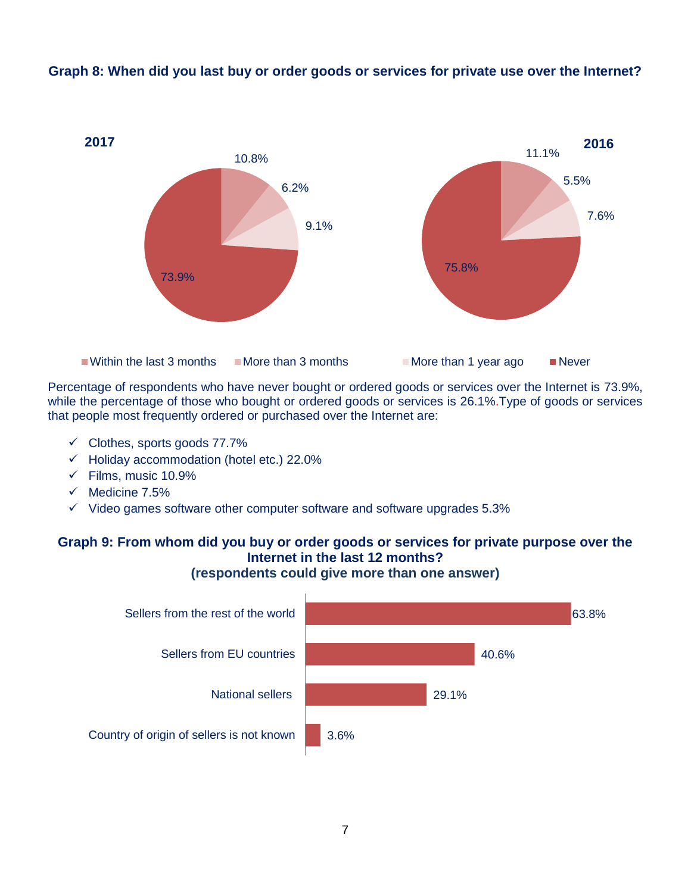

**Graph 8: When did you last buy or order goods or services for private use over the Internet?**

Percentage of respondents who have never bought or ordered goods or services over the Internet is 73.9%, while the percentage of those who bought or ordered goods or services is 26.1%.Type of goods or services that people most frequently ordered or purchased over the Internet are:

- $\checkmark$  Clothes, sports goods 77.7%
- $\checkmark$  Holiday accommodation (hotel etc.) 22.0%
- $\checkmark$  Films, music 10.9%
- $\checkmark$  Medicine 7.5%
- $\checkmark$  Video games software other computer software and software upgrades 5.3%

#### **Graph 9: From whom did you buy or order goods or services for private purpose over the Internet in the last 12 months? (respondents could give more than one answer)**